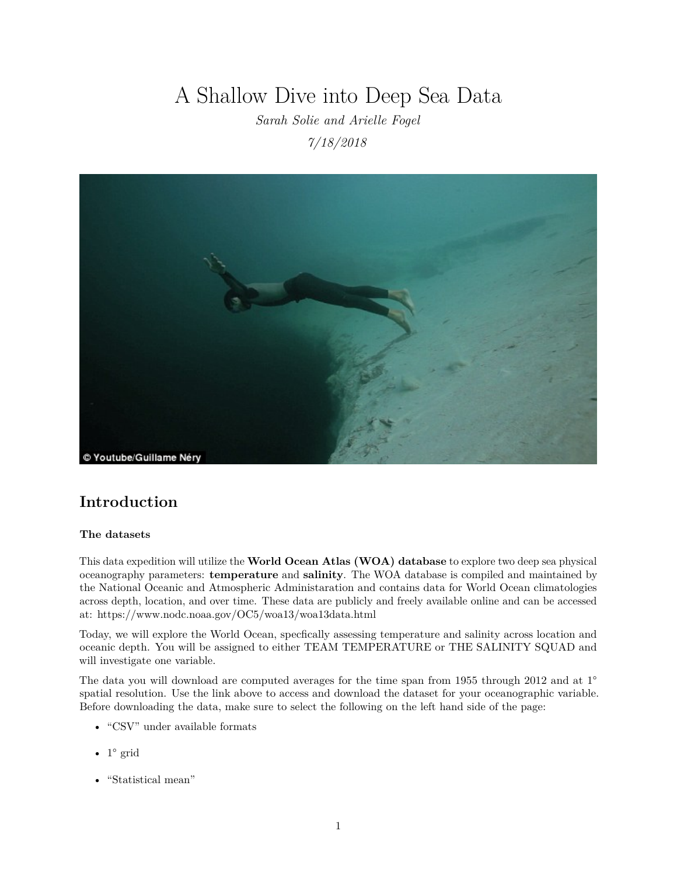# A Shallow Dive into Deep Sea Data

*Sarah Solie and Arielle Fogel 7/18/2018*



## **Introduction**

#### **The datasets**

This data expedition will utilize the **World Ocean Atlas (WOA) database** to explore two deep sea physical oceanography parameters: **temperature** and **salinity**. The WOA database is compiled and maintained by the National Oceanic and Atmospheric Administaration and contains data for World Ocean climatologies across depth, location, and over time. These data are publicly and freely available online and can be accessed at:<https://www.nodc.noaa.gov/OC5/woa13/woa13data.html>

Today, we will explore the World Ocean, specfically assessing temperature and salinity across location and oceanic depth. You will be assigned to either TEAM TEMPERATURE or THE SALINITY SQUAD and will investigate one variable.

The data you will download are computed averages for the time span from 1955 through 2012 and at 1<sup>°</sup> spatial resolution. Use the link above to access and download the dataset for your oceanographic variable. Before downloading the data, make sure to select the following on the left hand side of the page:

- "CSV" under available formats
- $1^\circ$  grid
- "Statistical mean"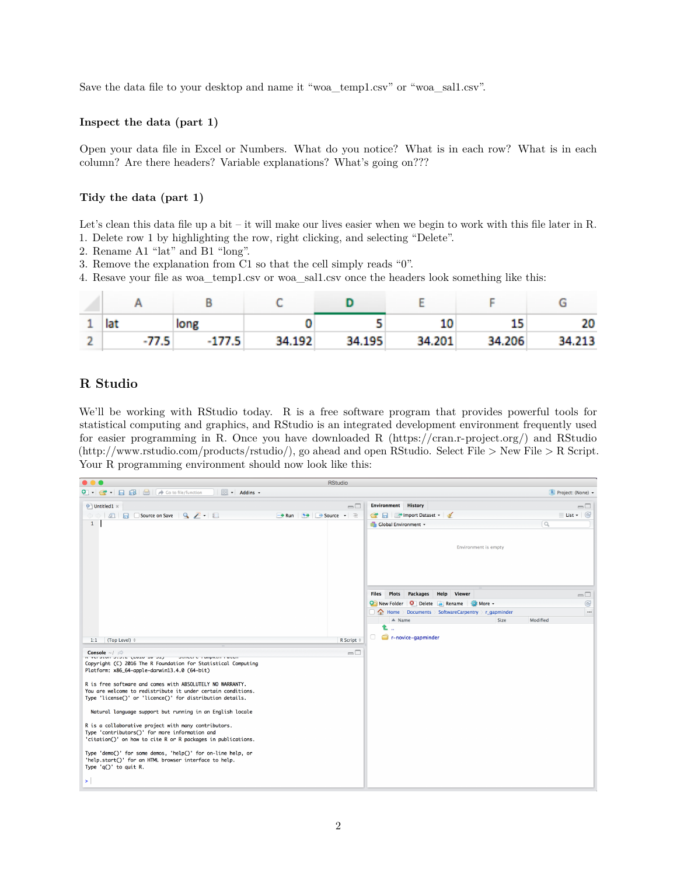Save the data file to your desktop and name it "woa\_temp1.csv" or "woa\_sal1.csv".

#### **Inspect the data (part 1)**

Open your data file in Excel or Numbers. What do you notice? What is in each row? What is in each column? Are there headers? Variable explanations? What's going on???

#### **Tidy the data (part 1)**

Let's clean this data file up a bit – it will make our lives easier when we begin to work with this file later in R. 1. Delete row 1 by highlighting the row, right clicking, and selecting "Delete".

- 2. Rename A1 "lat" and B1 "long".
- 3. Remove the explanation from C1 so that the cell simply reads "0".
- 4. Resave your file as woa\_temp1.csv or woa\_sal1.csv once the headers look something like this:

| ┻ | lat   | long     |        |        |        |        | 20     |
|---|-------|----------|--------|--------|--------|--------|--------|
|   | -77.5 | $-177.5$ | 34.192 | 34.195 | 34.201 | 34.206 | 34.213 |

### **R Studio**

We'll be working with RStudio today. R is a free software program that provides powerful tools for statistical computing and graphics, and RStudio is an integrated development environment frequently used for easier programming in R. Once you have downloaded R [\(https://cran.r-project.org/\)](https://cran.r-project.org/) and RStudio [\(http://www.rstudio.com/products/rstudio/\)](http://www.rstudio.com/products/rstudio/), go ahead and open RStudio. Select File > New File > R Script. Your R programming environment should now look like this:

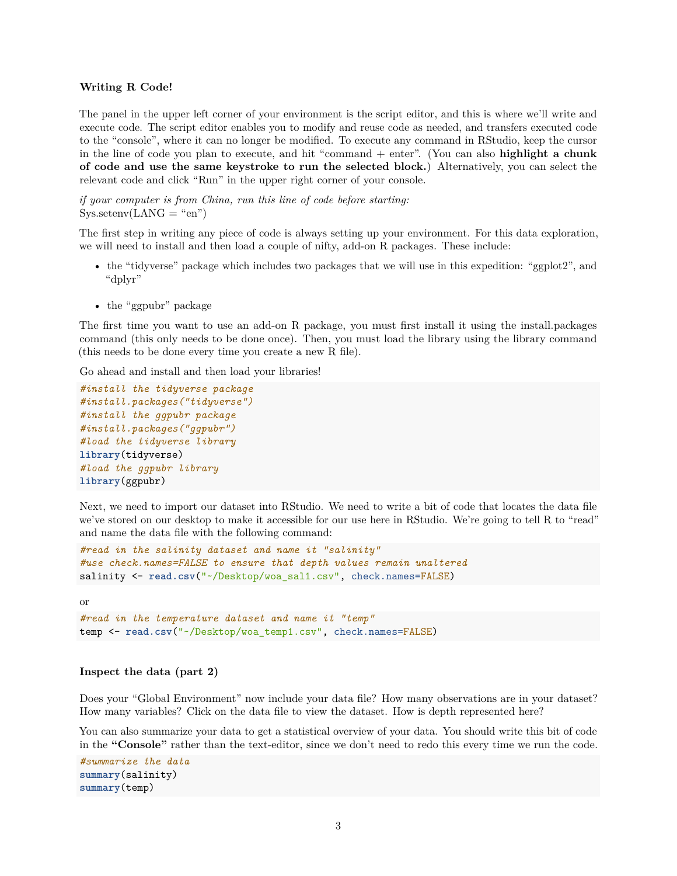#### **Writing R Code!**

The panel in the upper left corner of your environment is the script editor, and this is where we'll write and execute code. The script editor enables you to modify and reuse code as needed, and transfers executed code to the "console", where it can no longer be modified. To execute any command in RStudio, keep the cursor in the line of code you plan to execute, and hit "command + enter". (You can also **highlight a chunk of code and use the same keystroke to run the selected block.**) Alternatively, you can select the relevant code and click "Run" in the upper right corner of your console.

*if your computer is from China, run this line of code before starting:*  $Sys.setenv(LANG = "en")$ 

The first step in writing any piece of code is always setting up your environment. For this data exploration, we will need to install and then load a couple of nifty, add-on R packages. These include:

- the "tidyverse" package which includes two packages that we will use in this expedition: "ggplot2", and "dplyr"
- the "ggpubr" package

The first time you want to use an add-on R package, you must first install it using the install.packages command (this only needs to be done once). Then, you must load the library using the library command (this needs to be done every time you create a new R file).

Go ahead and install and then load your libraries!

```
#install the tidyverse package
#install.packages("tidyverse")
#install the ggpubr package
#install.packages("ggpubr")
#load the tidyverse library
library(tidyverse)
#load the ggpubr library
library(ggpubr)
```
Next, we need to import our dataset into RStudio. We need to write a bit of code that locates the data file we've stored on our desktop to make it accessible for our use here in RStudio. We're going to tell R to "read" and name the data file with the following command:

```
#read in the salinity dataset and name it "salinity"
#use check.names=FALSE to ensure that depth values remain unaltered
salinity <- read.csv("~/Desktop/woa_sal1.csv", check.names=FALSE)
```
or

```
#read in the temperature dataset and name it "temp"
temp <- read.csv("~/Desktop/woa_temp1.csv", check.names=FALSE)
```
#### **Inspect the data (part 2)**

Does your "Global Environment" now include your data file? How many observations are in your dataset? How many variables? Click on the data file to view the dataset. How is depth represented here?

You can also summarize your data to get a statistical overview of your data. You should write this bit of code in the **"Console"** rather than the text-editor, since we don't need to redo this every time we run the code.

```
#summarize the data
summary(salinity)
summary(temp)
```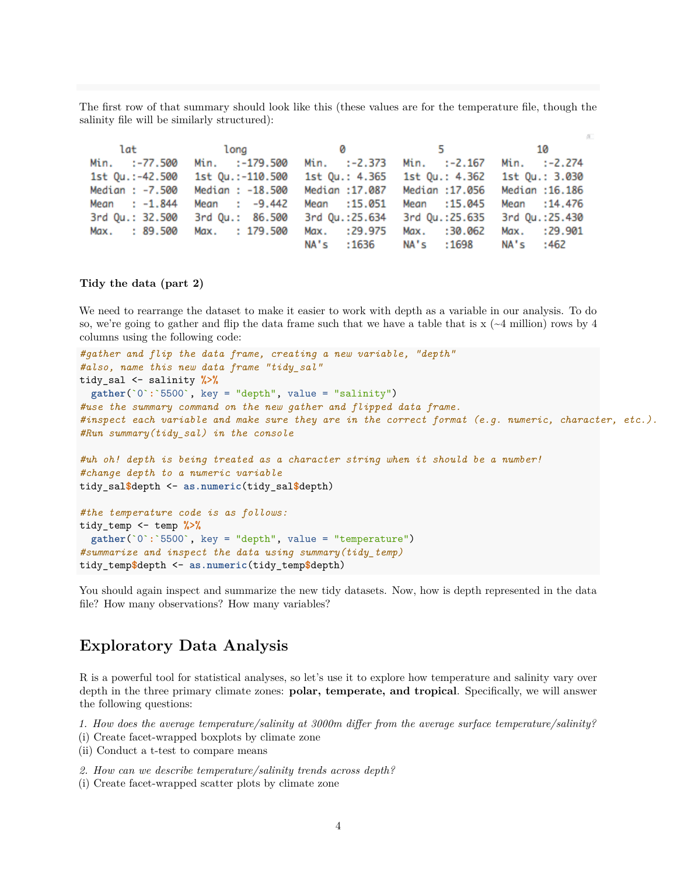The first row of that summary should look like this (these values are for the temperature file, though the salinity file will be similarly structured):

| lat             | long 0           |                  | $5 - 1$                       | 10               |
|-----------------|------------------|------------------|-------------------------------|------------------|
| Min. :-77.500   | Min. :-179.500   | Min. :-2.373     | Min. :-2.167 Min. :-2.274     |                  |
| 1st Qu.:-42.500 | 1st Qu.:-110.500 | 1st Qu.: 4.365   | 1st Qu.: 4.362                | 1st Qu.: 3.030   |
| Median : -7.500 | Median : -18.500 | Median :17.087   | Median :17.056 Median :16.186 |                  |
| Mean : $-1.844$ | Mean : $-9.442$  | Mean : 15.051    | Mean : 15,045                 | Mean : 14,476    |
| 3rd Qu.: 32.500 | 3rd Qu.: 86.500  | 3rd Qu.:25.634   | 3rd Qu.:25.635                | 3rd Qu.:25.430   |
| Max. : 89.500   | Max. : 179.500   | : 29.975<br>Max. | Max.<br>:30.062               | Max.<br>: 29.901 |
|                 |                  | NA's<br>: 1636   | NA's :1698                    | NA's :462        |

#### **Tidy the data (part 2)**

We need to rearrange the dataset to make it easier to work with depth as a variable in our analysis. To do so, we're going to gather and flip the data frame such that we have a table that is  $x \approx (-4 \text{ million})$  rows by 4 columns using the following code:

```
#gather and flip the data frame, creating a new variable, "depth"
#also, name this new data frame "tidy_sal"
tidy_sal <- salinity %>%
  gather(`0`:`5500`, key = "depth", value = "salinity")
#use the summary command on the new gather and flipped data frame.
#inspect each variable and make sure they are in the correct format (e.g. numeric, character, etc.).
#Run summary(tidy_sal) in the console
#uh oh! depth is being treated as a character string when it should be a number!
#change depth to a numeric variable
tidy_sal$depth <- as.numeric(tidy_sal$depth)
#the temperature code is as follows:
tidy_temp <- temp %>%
  gather(`0`:`5500`, key = "depth", value = "temperature")
#summarize and inspect the data using summary(tidy_temp)
```
You should again inspect and summarize the new tidy datasets. Now, how is depth represented in the data

file? How many observations? How many variables?

### **Exploratory Data Analysis**

tidy\_temp**\$**depth <- **as.numeric**(tidy\_temp**\$**depth)

R is a powerful tool for statistical analyses, so let's use it to explore how temperature and salinity vary over depth in the three primary climate zones: **polar, temperate, and tropical**. Specifically, we will answer the following questions:

*1. How does the average temperature/salinity at 3000m differ from the average surface temperature/salinity?*

(i) Create facet-wrapped boxplots by climate zone

(ii) Conduct a t-test to compare means

*2. How can we describe temperature/salinity trends across depth?*

(i) Create facet-wrapped scatter plots by climate zone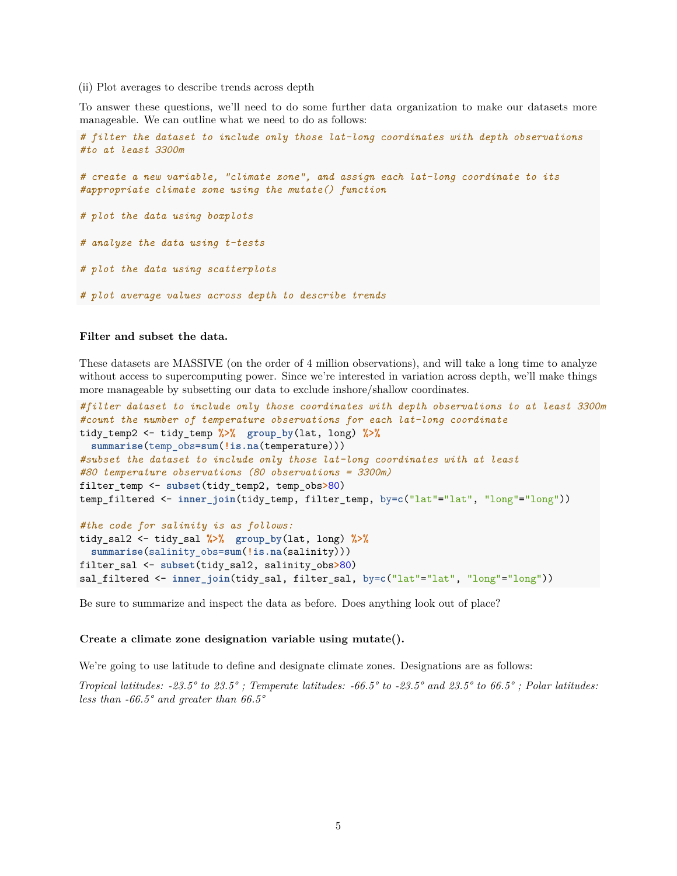#### (ii) Plot averages to describe trends across depth

To answer these questions, we'll need to do some further data organization to make our datasets more manageable. We can outline what we need to do as follows:

```
# filter the dataset to include only those lat-long coordinates with depth observations
#to at least 3300m
```
*# create a new variable, "climate zone", and assign each lat-long coordinate to its #appropriate climate zone using the mutate() function*

*# plot the data using boxplots*

*# analyze the data using t-tests*

*# plot the data using scatterplots*

*# plot average values across depth to describe trends*

#### **Filter and subset the data.**

These datasets are MASSIVE (on the order of 4 million observations), and will take a long time to analyze without access to supercomputing power. Since we're interested in variation across depth, we'll make things more manageable by subsetting our data to exclude inshore/shallow coordinates.

```
#filter dataset to include only those coordinates with depth observations to at least 3300m
#count the number of temperature observations for each lat-long coordinate
tidy_temp2 <- tidy_temp %>% group_by(lat, long) %>%
 summarise(temp_obs=sum(!is.na(temperature)))
#subset the dataset to include only those lat-long coordinates with at least
#80 temperature observations (80 observations = 3300m)
filter_temp <- subset(tidy_temp2, temp_obs>80)
temp_filtered <- inner_join(tidy_temp, filter_temp, by=c("lat"="lat", "long"="long"))
#the code for salinity is as follows:
tidy_sal2 <- tidy_sal %>% group_by(lat, long) %>%
  summarise(salinity_obs=sum(!is.na(salinity)))
filter_sal <- subset(tidy_sal2, salinity_obs>80)
```
sal\_filtered <- **inner\_join**(tidy\_sal, filter\_sal, by=**c**("lat"="lat", "long"="long"))

Be sure to summarize and inspect the data as before. Does anything look out of place?

#### **Create a climate zone designation variable using mutate().**

We're going to use latitude to define and designate climate zones. Designations are as follows:

*Tropical latitudes: -23.5° to 23.5° ; Temperate latitudes: -66.5° to -23.5° and 23.5° to 66.5° ; Polar latitudes: less than -66.5° and greater than 66.5°*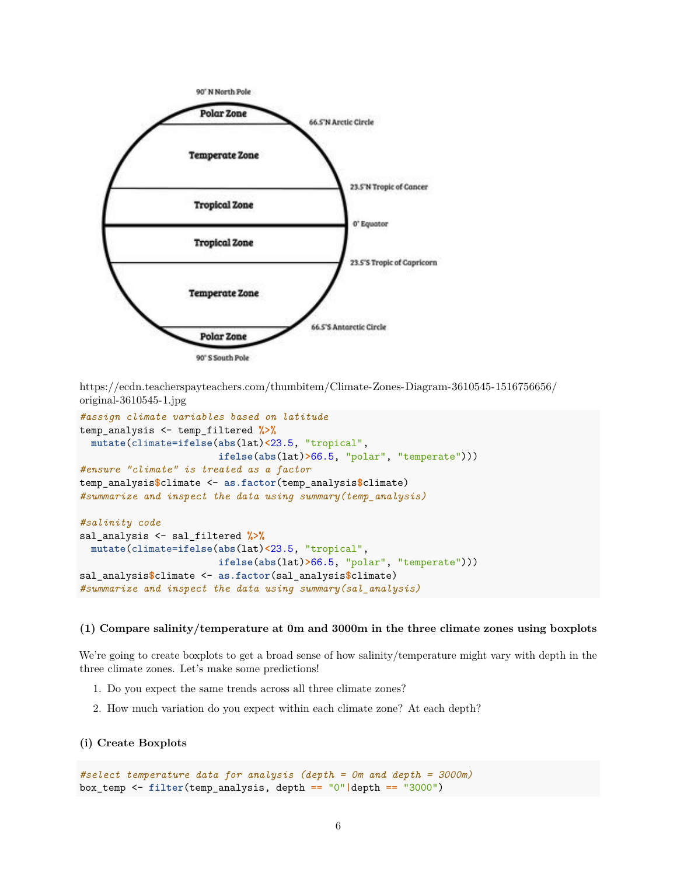

[https://ecdn.teacherspayteachers.com/thumbitem/Climate-Zones-Diagram-3610545-1516756656/](https://ecdn.teacherspayteachers.com/thumbitem/Climate-Zones-Diagram-3610545-1516756656/original-3610545-1.jpg) [original-3610545-1.jpg](https://ecdn.teacherspayteachers.com/thumbitem/Climate-Zones-Diagram-3610545-1516756656/original-3610545-1.jpg)

```
#assign climate variables based on latitude
temp_analysis <- temp_filtered %>%
  mutate(climate=ifelse(abs(lat)<23.5, "tropical",
                        ifelse(abs(lat)>66.5, "polar", "temperate")))
#ensure "climate" is treated as a factor
temp_analysis$climate <- as.factor(temp_analysis$climate)
#summarize and inspect the data using summary(temp_analysis)
#salinity code
sal_analysis <- sal_filtered %>%
 mutate(climate=ifelse(abs(lat)<23.5, "tropical",
                        ifelse(abs(lat)>66.5, "polar", "temperate")))
sal_analysis$climate <- as.factor(sal_analysis$climate)
#summarize and inspect the data using summary(sal_analysis)
```
#### **(1) Compare salinity/temperature at 0m and 3000m in the three climate zones using boxplots**

We're going to create boxplots to get a broad sense of how salinity/temperature might vary with depth in the three climate zones. Let's make some predictions!

- 1. Do you expect the same trends across all three climate zones?
- 2. How much variation do you expect within each climate zone? At each depth?

#### **(i) Create Boxplots**

```
#select temperature data for analysis (depth = 0m and depth = 3000m)
box_temp <- filter(temp_analysis, depth == "0"|depth == "3000")
```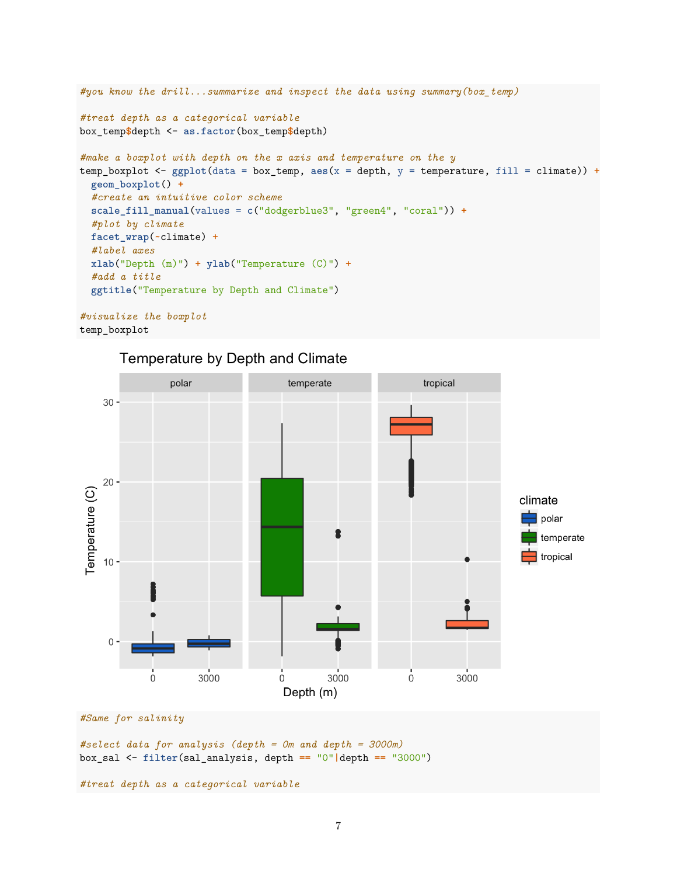```
#you know the drill...summarize and inspect the data using summary(box_temp)
#treat depth as a categorical variable
box_temp$depth <- as.factor(box_temp$depth)
#make a boxplot with depth on the x axis and temperature on the y
temp_boxplot <- ggplot(data = box_temp, aes(x = depth, y = temperature, fill = climate)) +
 geom_boxplot() +
  #create an intuitive color scheme
 scale_fill_manual(values = c("dodgerblue3", "green4", "coral")) +
  #plot by climate
 facet_wrap(~climate) +
  #label axes
 xlab("Depth (m)") + ylab("Temperature (C)") +
  #add a title
 ggtitle("Temperature by Depth and Climate")
#visualize the boxplot
```

```
temp_boxplot
```






*#select data for analysis (depth = 0m and depth = 3000m)* box\_sal <- **filter**(sal\_analysis, depth **==** "0"**|**depth **==** "3000")

*#treat depth as a categorical variable*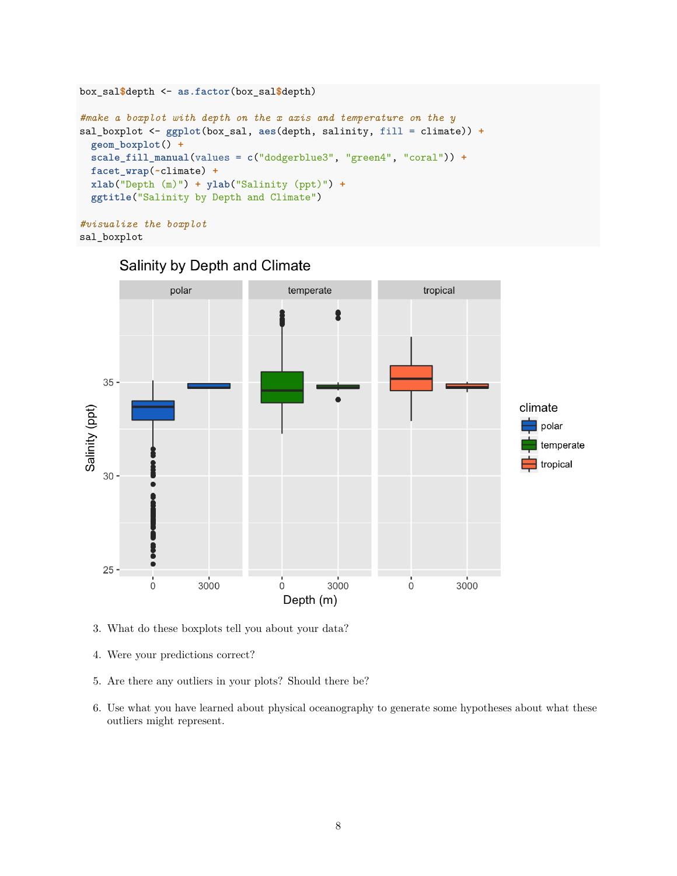```
box_sal$depth <- as.factor(box_sal$depth)
#make a boxplot with depth on the x axis and temperature on the y
sal_boxplot <- ggplot(box_sal, aes(depth, salinity, fill = climate)) +
  geom_boxplot() +
 scale_fill_manual(values = c("dodgerblue3", "green4", "coral")) +
 facet_wrap(~climate) +
 xlab("Depth (m)") + ylab("Salinity (ppt)") +
  ggtitle("Salinity by Depth and Climate")
#visualize the boxplot
```

```
sal_boxplot
```


# Salinity by Depth and Climate

- 3. What do these boxplots tell you about your data?
- 4. Were your predictions correct?
- 5. Are there any outliers in your plots? Should there be?
- 6. Use what you have learned about physical oceanography to generate some hypotheses about what these outliers might represent.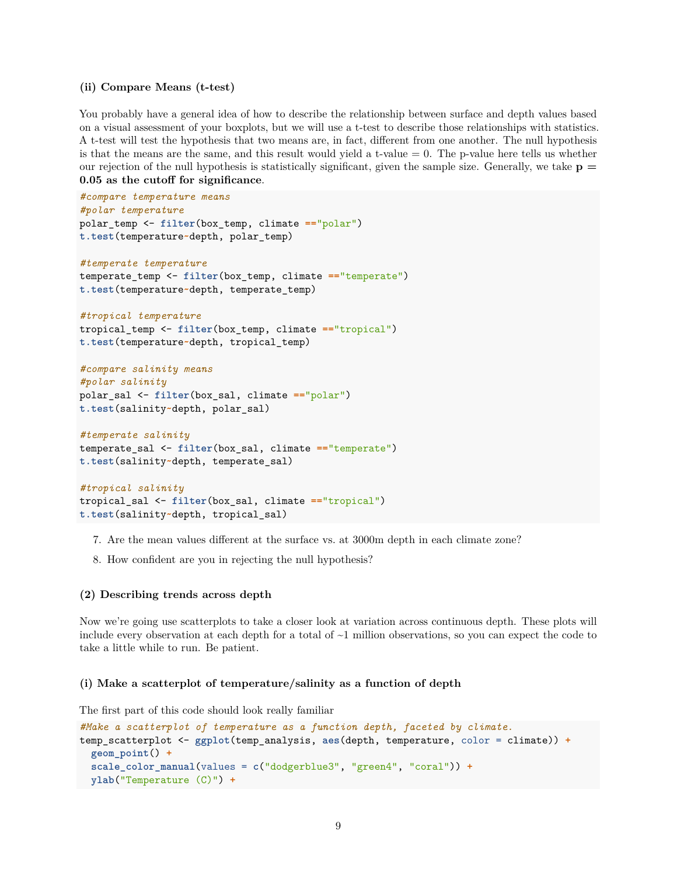#### **(ii) Compare Means (t-test)**

You probably have a general idea of how to describe the relationship between surface and depth values based on a visual assessment of your boxplots, but we will use a t-test to describe those relationships with statistics. A t-test will test the hypothesis that two means are, in fact, different from one another. The null hypothesis is that the means are the same, and this result would yield a t-value  $= 0$ . The p-value here tells us whether our rejection of the null hypothesis is statistically significant, given the sample size. Generally, we take  $p =$ **0.05 as the cutoff for significance**.

```
#compare temperature means
#polar temperature
polar_temp <- filter(box_temp, climate =="polar")
t.test(temperature~depth, polar_temp)
#temperate temperature
temperate_temp <- filter(box_temp, climate =="temperate")
t.test(temperature~depth, temperate_temp)
#tropical temperature
tropical_temp <- filter(box_temp, climate =="tropical")
t.test(temperature~depth, tropical_temp)
#compare salinity means
#polar salinity
polar_sal <- filter(box_sal, climate =="polar")
t.test(salinity~depth, polar_sal)
#temperate salinity
temperate_sal <- filter(box_sal, climate =="temperate")
t.test(salinity~depth, temperate_sal)
```

```
#tropical salinity
tropical_sal <- filter(box_sal, climate =="tropical")
```
**t.test**(salinity**~**depth, tropical\_sal)

- 7. Are the mean values different at the surface vs. at 3000m depth in each climate zone?
- 8. How confident are you in rejecting the null hypothesis?

#### **(2) Describing trends across depth**

Now we're going use scatterplots to take a closer look at variation across continuous depth. These plots will include every observation at each depth for a total of ~1 million observations, so you can expect the code to take a little while to run. Be patient.

#### **(i) Make a scatterplot of temperature/salinity as a function of depth**

The first part of this code should look really familiar

```
#Make a scatterplot of temperature as a function depth, faceted by climate.
temp_scatterplot <- ggplot(temp_analysis, aes(depth, temperature, color = climate)) +
  geom_point() +
  scale_color_manual(values = c("dodgerblue3", "green4", "coral")) +
 ylab("Temperature (C)") +
```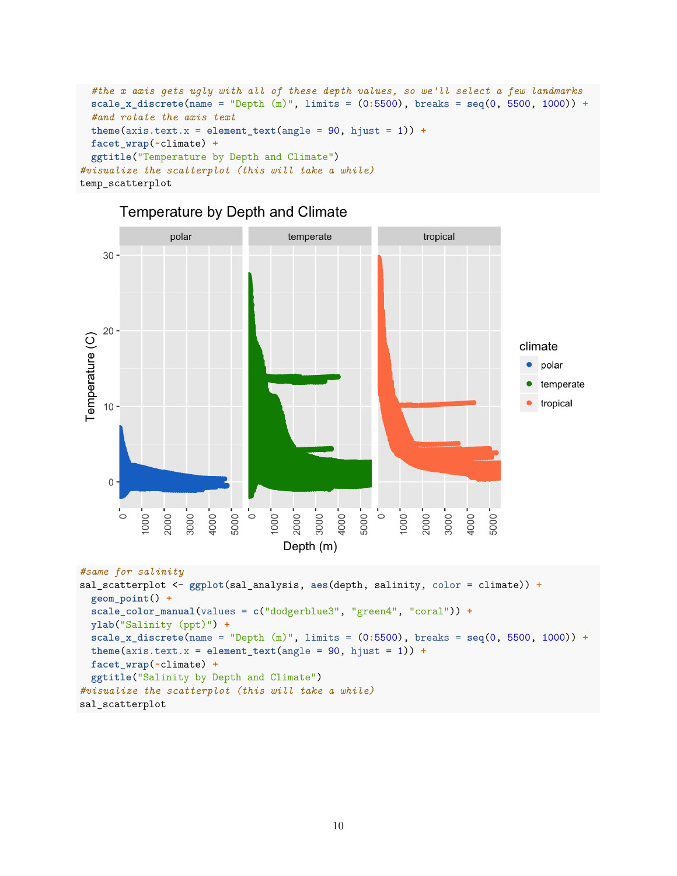```
#the x axis gets ugly with all of these depth values, so we'll select a few landmarks
  scale_x_discrete(name = "Depth (m)", limits = (0:5500), breaks = seq(0, 5500, 1000)) +
  #and rotate the axis text
  theme(axis.text.x = element_test(angle = 90, hjust = 1)) +facet_wrap(~climate) +
  ggtitle("Temperature by Depth and Climate")
#visualize the scatterplot (this will take a while)
temp_scatterplot
```


### Temperature by Depth and Climate

```
#same for salinity
```

```
sal_scatterplot <- ggplot(sal_analysis, aes(depth, salinity, color = climate)) +
  geom_point() +
 scale_color_manual(values = c("dodgerblue3", "green4", "coral")) +
 ylab("Salinity (ppt)") +
 scale_x_discrete(name = "Depth (m)", limits = (0:5500), breaks = seq(0, 5500, 1000)) +
 theme(axis.text.x = element_test(angle = 90, hjust = 1)) +facet_wrap(~climate) +
  ggtitle("Salinity by Depth and Climate")
#visualize the scatterplot (this will take a while)
sal_scatterplot
```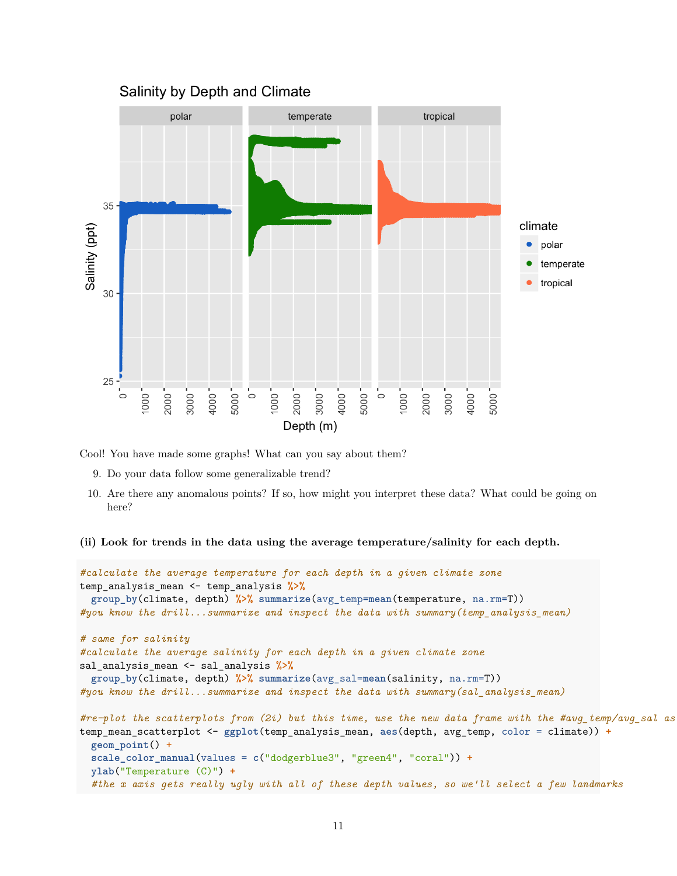

Cool! You have made some graphs! What can you say about them?

- 9. Do your data follow some generalizable trend?
- 10. Are there any anomalous points? If so, how might you interpret these data? What could be going on here?
- **(ii) Look for trends in the data using the average temperature/salinity for each depth.**

```
#calculate the average temperature for each depth in a given climate zone
temp_analysis_mean <- temp_analysis %>%
  group_by(climate, depth) %>% summarize(avg_temp=mean(temperature, na.rm=T))
#you know the drill...summarize and inspect the data with summary(temp_analysis_mean)
# same for salinity
#calculate the average salinity for each depth in a given climate zone
sal_analysis_mean <- sal_analysis %>%
  group_by(climate, depth) %>% summarize(avg_sal=mean(salinity, na.rm=T))
#you know the drill...summarize and inspect the data with summary(sal_analysis_mean)
#re-plot the scatterplots from (2i) but this time, use the new data frame with the #avg_temp/avg_sal as your y-variable
temp_mean_scatterplot <- ggplot(temp_analysis_mean, aes(depth, avg_temp, color = climate)) +
  geom_point() +
  scale_color_manual(values = c("dodgerblue3", "green4", "coral")) +
 ylab("Temperature (C)") +
  #the x axis gets really ugly with all of these depth values, so we'll select a few landmarks
```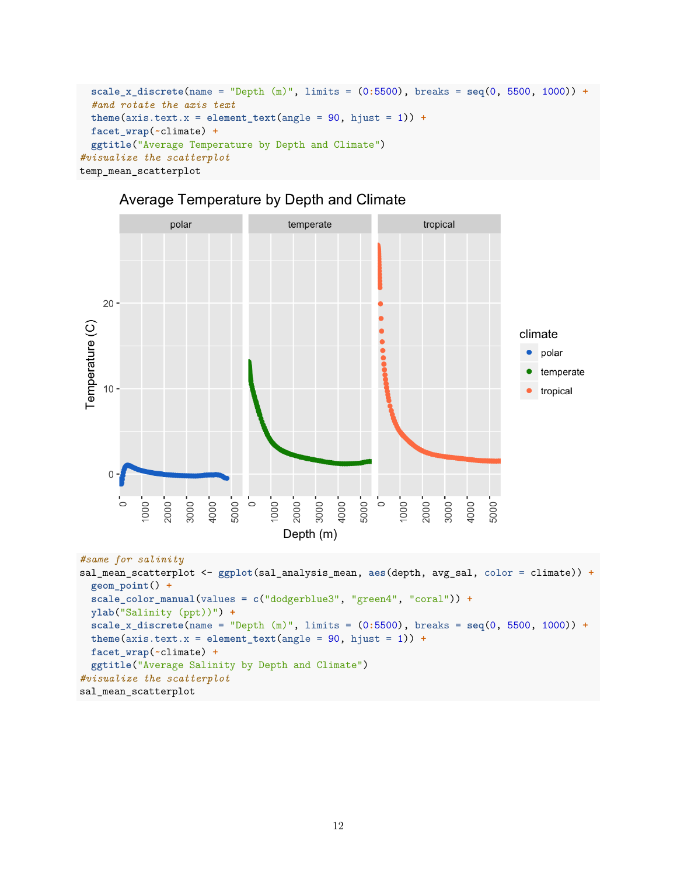```
scale_x_discrete(name = "Depth (m)", limits = (0:5500), breaks = seq(0, 5500, 1000)) +
  #and rotate the axis text
  theme(axis.text.x = element_test(angle = 90, hjust = 1)) +facet_wrap(~climate) +
  ggtitle("Average Temperature by Depth and Climate")
#visualize the scatterplot
temp_mean_scatterplot
```
# Average Temperature by Depth and Climate



#### *#same for salinity*

```
sal_mean_scatterplot <- ggplot(sal_analysis_mean, aes(depth, avg_sal, color = climate)) +
 geom_point() +
 scale_color_manual(values = c("dodgerblue3", "green4", "coral")) +
 ylab("Salinity (ppt))") +
 scale_x_discrete(name = "Depth (m)", limits = (0:5500), breaks = seq(0, 5500, 1000)) +
 theme(axis.text.x = element_test(angle = 90, hjust = 1)) +facet_wrap(~climate) +
  ggtitle("Average Salinity by Depth and Climate")
#visualize the scatterplot
sal_mean_scatterplot
```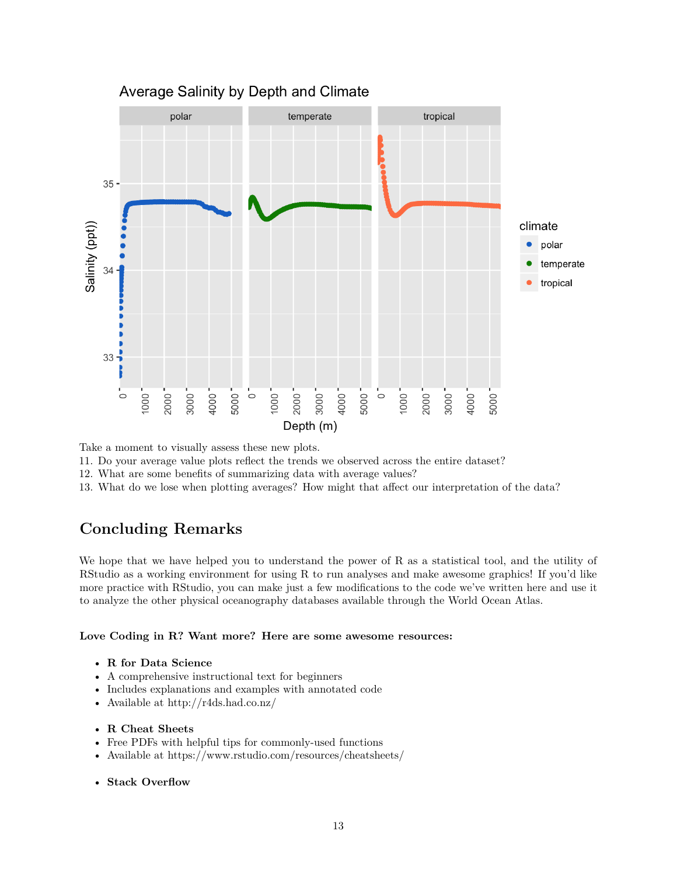

### Average Salinity by Depth and Climate

Take a moment to visually assess these new plots.

11. Do your average value plots reflect the trends we observed across the entire dataset?

12. What are some benefits of summarizing data with average values?

13. What do we lose when plotting averages? How might that affect our interpretation of the data?

# **Concluding Remarks**

We hope that we have helped you to understand the power of R as a statistical tool, and the utility of RStudio as a working environment for using R to run analyses and make awesome graphics! If you'd like more practice with RStudio, you can make just a few modifications to the code we've written here and use it to analyze the other physical oceanography databases available through the World Ocean Atlas.

**Love Coding in R? Want more? Here are some awesome resources:**

- **R for Data Science**
- A comprehensive instructional text for beginners
- Includes explanations and examples with annotated code
- Available at<http://r4ds.had.co.nz/>
- **R Cheat Sheets**
- Free PDFs with helpful tips for commonly-used functions
- Available at<https://www.rstudio.com/resources/cheatsheets/>
- **Stack Overflow**